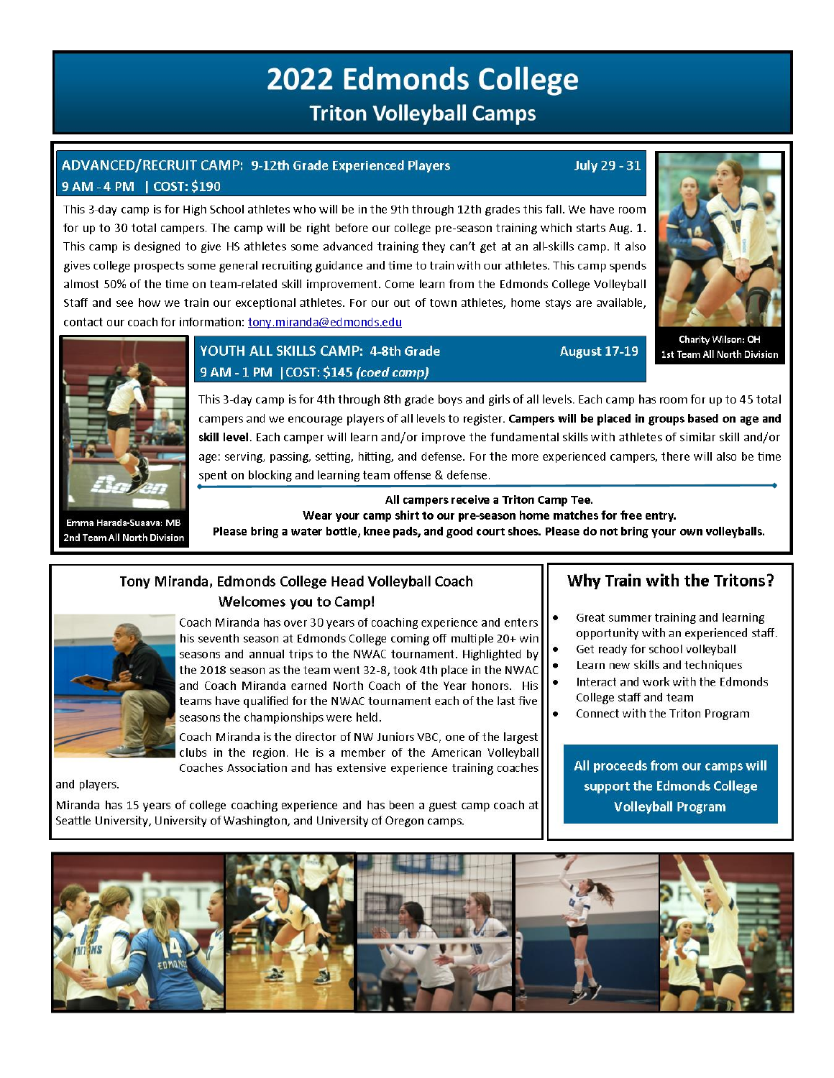# **2022 Edmonds College Triton Volleyball Camps**

# ADVANCED/RECRUIT CAMP: 9-12th Grade Experienced Players 9 AM - 4 PM | COST: \$190

This 3-day camp is for High School athletes who will be in the 9th through 12th grades this fall. We have room for up to 30 total campers. The camp will be right before our college pre-season training which starts Aug. 1. This camp is designed to give HS athletes some advanced training they can't get at an all-skills camp. It also gives college prospects some general recruiting guidance and time to train with our athletes. This camp spends almost 50% of the time on team-related skill improvement. Come learn from the Edmonds College Volleyball Staff and see how we train our exceptional athletes. For our out of town athletes, home stays are available, contact our coach for information: tony.miranda@edmonds.edu



**July 29 - 31** 

**August 17-19** 

**Charity Wilson: OH** 1st Team All North Division



Emma Harada-Suaava: MB 2nd Team All North Division

# YOUTH ALL SKILLS CAMP: 4-8th Grade 9 AM - 1 PM | COST: \$145 (coed camp)

This 3-day camp is for 4th through 8th grade boys and girls of all levels. Each camp has room for up to 45 total campers and we encourage players of all levels to register. Campers will be placed in groups based on age and skill level. Each camper will learn and/or improve the fundamental skills with athletes of similar skill and/or age: serving, passing, setting, hitting, and defense. For the more experienced campers, there will also be time spent on blocking and learning team offense & defense.

#### All campers receive a Triton Camp Tee. Wear your camp shirt to our pre-season home matches for free entry.

 $\bullet$ 

Please bring a water bottle, knee pads, and good court shoes. Please do not bring your own volleyballs.

### Tony Miranda, Edmonds College Head Volleyball Coach Welcomes you to Camp!



Coach Miranda has over 30 years of coaching experience and enters his seventh season at Edmonds College coming off multiple 20+ win seasons and annual trips to the NWAC tournament. Highlighted by the 2018 season as the team went 32-8, took 4th place in the NWAC and Coach Miranda earned North Coach of the Year honors. His teams have qualified for the NWAC tournament each of the last five seasons the championships were held.

Coach Miranda is the director of NW Juniors VBC, one of the largest clubs in the region. He is a member of the American Volleyball Coaches Association and has extensive experience training coaches

and players.

Miranda has 15 years of college coaching experience and has been a guest camp coach at Seattle University, University of Washington, and University of Oregon camps.

# Why Train with the Tritons?

- Great summer training and learning opportunity with an experienced staff.
- Get ready for school volleyball Learn new skills and techniques
- Interact and work with the Edmonds College staff and team
- Connect with the Triton Program

All proceeds from our camps will support the Edmonds College **Volleyball Program**